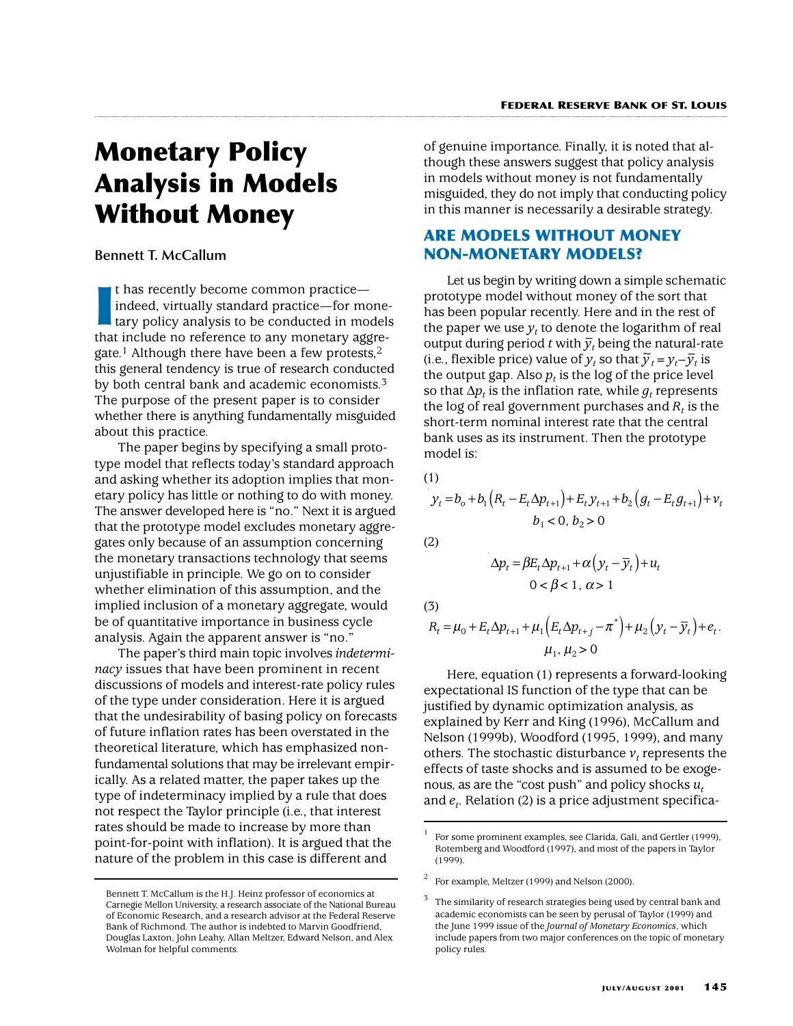# **Monetary Policy Analysis in Models Without Money**

### **Bennett T. McCallum**

I has recently become common practice—<br>
indeed, virtually standard practice—for mone-<br>
tary policy analysis to be conducted in model:<br>
that include no reference to any monetary aggret has recently become common practice indeed, virtually standard practice—for monetary policy analysis to be conducted in models gate.<sup>1</sup> Although there have been a few protests,<sup>2</sup> this general tendency is true of research conducted by both central bank and academic economists.<sup>3</sup> The purpose of the present paper is to consider whether there is anything fundamentally misguided about this practice.

The paper begins by specifying a small prototype model that reflects today's standard approach and asking whether its adoption implies that monetary policy has little or nothing to do with money. The answer developed here is "no." Next it is argued that the prototype model excludes monetary aggregates only because of an assumption concerning the monetary transactions technology that seems unjustifiable in principle. We go on to consider whether elimination of this assumption, and the implied inclusion of a monetary aggregate, would be of quantitative importance in business cycle analysis. Again the apparent answer is "no."

The paper's third main topic involves *indeterminacy* issues that have been prominent in recent discussions of models and interest-rate policy rules of the type under consideration. Here it is argued that the undesirability of basing policy on forecasts of future inflation rates has been overstated in the theoretical literature, which has emphasized nonfundamental solutions that may be irrelevant empirically. As a related matter, the paper takes up the type of indeterminacy implied by a rule that does not respect the Taylor principle (i.e., that interest rates should be made to increase by more than point-for-point with inflation). It is argued that the nature of the problem in this case is different and

of genuine importance. Finally, it is noted that although these answers suggest that policy analysis in models without money is not fundamentally misguided, they do not imply that conducting policy in this manner is necessarily a desirable strategy.

## **ARE MODELS WITHOUT MONEY NON-MONETARY MODELS?**

Let us begin by writing down a simple schematic prototype model without money of the sort that has been popular recently. Here and in the rest of the paper we use  $y_t$  to denote the logarithm of real output during period *t* with  $\bar{y}_t$  being the natural-rate (i.e., flexible price) value of  $y_t$  so that  $\tilde{y}_t = y_t - \overline{y}_t$  is the output gap. Also  $p_t$  is the log of the price level so that  $\Delta p_t$  is the inflation rate, while  $q_t$  represents the log of real government purchases and  $R_t$  is the short-term nominal interest rate that the central bank uses as its instrument. Then the prototype model is:

(1)

$$
y_{t} = b_{o} + b_{1} (R_{t} - E_{t} \Delta p_{t+1}) + E_{t} y_{t+1} + b_{2} (g_{t} - E_{t} g_{t+1}) + v_{t}
$$
  

$$
b_{1} < 0, b_{2} > 0
$$

(2)

$$
\Delta p_t = \beta E_t \Delta p_{t+1} + \alpha \left( y_t - \overline{y}_t \right) + u_t
$$
  
0 < \beta < 1, \alpha > 1

(3)

$$
R_{t} = \mu_{0} + E_{t} \Delta p_{t+1} + \mu_{1} \left( E_{t} \Delta p_{t+j} - \pi^{*} \right) + \mu_{2} \left( y_{t} - \overline{y}_{t} \right) + e_{t}.
$$
  

$$
\mu_{1}, \mu_{2} > 0
$$

Here, equation (1) represents a forward-looking expectational IS function of the type that can be justified by dynamic optimization analysis, as explained by Kerr and King (1996), McCallum and Nelson (1999b), Woodford (1995, 1999), and many others. The stochastic disturbance  $v_t$  represents the effects of taste shocks and is assumed to be exogenous, as are the "cost push" and policy shocks *ut* and  $e_t$ . Relation (2) is a price adjustment specifica-

Bennett T. McCallum is the H.J. Heinz professor of economics at Carnegie Mellon University, a research associate of the National Bureau of Economic Research, and a research advisor at the Federal Reserve Bank of Richmond. The author is indebted to Marvin Goodfriend, Douglas Laxton, John Leahy, Allan Meltzer, Edward Nelson, and Alex Wolman for helpful comments.

<sup>1</sup> For some prominent examples, see Clarida, Gali, and Gertler (1999), Rotemberg and Woodford (1997), and most of the papers in Taylor (1999).

 $2^{\circ}$  For example, Meltzer (1999) and Nelson (2000).

The similarity of research strategies being used by central bank and academic economists can be seen by perusal of Taylor (1999) and the June 1999 issue of the *Journal of Monetary Economics*, which include papers from two major conferences on the topic of monetary policy rules.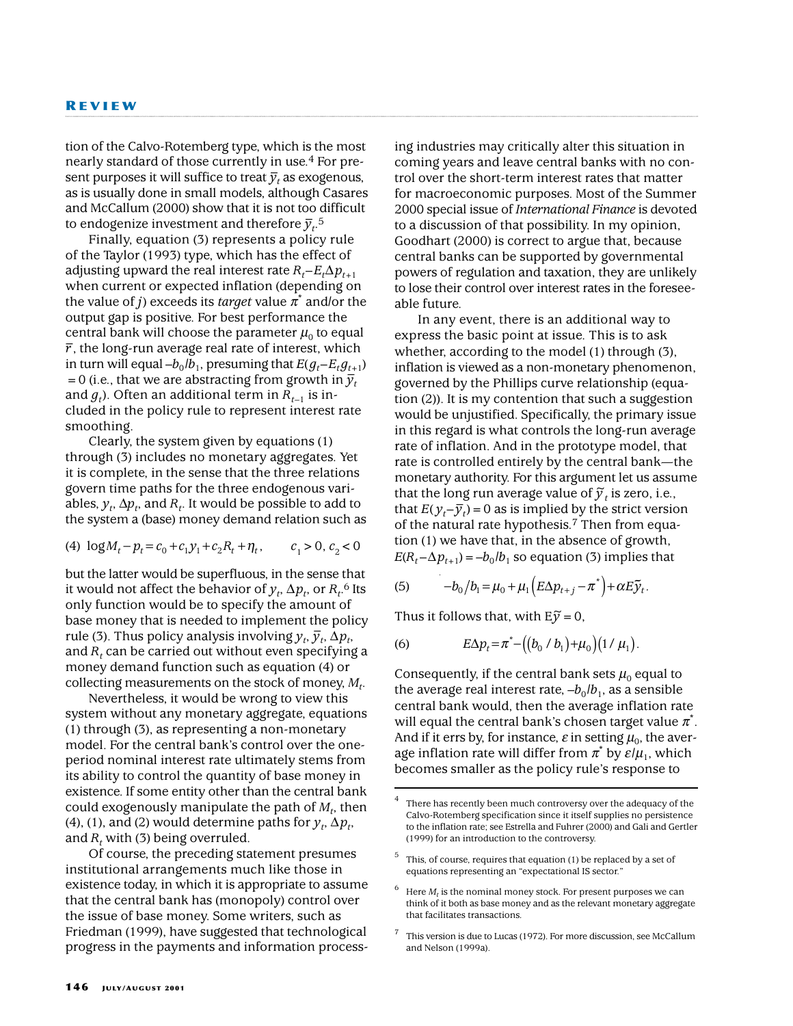tion of the Calvo-Rotemberg type, which is the most nearly standard of those currently in use.4 For pre- $\frac{1}{2}$  and  $\frac{1}{2}$  are  $\frac{1}{2}$  and  $\frac{1}{2}$  as exogenous, as is usually done in small models, although Casares and McCallum (2000) show that it is not too difficult to endogenize investment and therefore  $\bar{y}_t$ <sup>5</sup>.

Finally, equation (3) represents a policy rule of the Taylor (1993) type, which has the effect of adjusting upward the real interest rate  $R_t - E_t \Delta p_{t+1}$ when current or expected inflation (depending on the value of *j*) exceeds its *target* value  $\pi^*$  and/or the output gap is positive. For best performance the central bank will choose the parameter  $\mu_0$  to equal *r* –, the long-run average real rate of interest, which in turn will equal  $-b_0/b_1$ , presuming that  $E(g_t-E_t g_{t+1})$  $= 0$  (i.e., that we are abstracting from growth in  $\overline{y}_t$ and  $q_t$ ). Often an additional term in  $R_{t-1}$  is included in the policy rule to represent interest rate smoothing.

Clearly, the system given by equations (1) through (3) includes no monetary aggregates. Yet it is complete, in the sense that the three relations govern time paths for the three endogenous variables,  $y_t$ ,  $\Delta p_t$ , and  $R_t$ . It would be possible to add to the system a (base) money demand relation such as

(4) 
$$
\log M_t - p_t = c_0 + c_1 y_1 + c_2 R_t + \eta_t
$$
,  $c_1 > 0, c_2 < 0$ 

but the latter would be superfluous, in the sense that it would not affect the behavior of  $y_t$ ,  $\Delta p_t$ , or  $R_t$ .<sup>6</sup> Its only function would be to specify the amount of base money that is needed to implement the policy rule (3). Thus policy analysis involving  $y_t$ ,  $\bar{y}_t$ ,  $\Delta p_t$ , and  $R_t$  can be carried out without even specifying a money demand function such as equation (4) or collecting measurements on the stock of money, *Mt*.

Nevertheless, it would be wrong to view this system without any monetary aggregate, equations (1) through (3), as representing a non-monetary model. For the central bank's control over the oneperiod nominal interest rate ultimately stems from its ability to control the quantity of base money in existence. If some entity other than the central bank could exogenously manipulate the path of  $M_t$ , then (4), (1), and (2) would determine paths for  $y_t$ ,  $\Delta p_t$ , and  $R_t$  with (3) being overruled.

Of course, the preceding statement presumes institutional arrangements much like those in existence today, in which it is appropriate to assume that the central bank has (monopoly) control over the issue of base money. Some writers, such as Friedman (1999), have suggested that technological progress in the payments and information processing industries may critically alter this situation in coming years and leave central banks with no control over the short-term interest rates that matter for macroeconomic purposes. Most of the Summer 2000 special issue of *International Finance* is devoted to a discussion of that possibility. In my opinion, Goodhart (2000) is correct to argue that, because central banks can be supported by governmental powers of regulation and taxation, they are unlikely to lose their control over interest rates in the foreseeable future.

In any event, there is an additional way to express the basic point at issue. This is to ask whether, according to the model (1) through (3), inflation is viewed as a non-monetary phenomenon, governed by the Phillips curve relationship (equation (2)). It is my contention that such a suggestion would be unjustified. Specifically, the primary issue in this regard is what controls the long-run average rate of inflation. And in the prototype model, that rate is controlled entirely by the central bank—the monetary authority. For this argument let us assume that the long run average value of  $\tilde{y}_t$  is zero, i.e., that  $E(y_t - \overline{y}_t) = 0$  as is implied by the strict version of the natural rate hypothesis.<sup>7</sup> Then from equation (1) we have that, in the absence of growth,  $E(R_t - \Delta p_{t+1}) = -b_0/b_1$  so equation (3) implies that

(5) 
$$
-b_0/b_1 = \mu_0 + \mu_1 (E \Delta p_{t+j} - \pi^*) + \alpha E \widetilde{y}_t.
$$

Thus it follows that, with  $E\widetilde{y} = 0$ ,

(6) 
$$
E\Delta p_t = \pi^* - ((b_0 / b_1) + \mu_0)(1 / \mu_1).
$$

Consequently, if the central bank sets  $\mu_0$  equal to the average real interest rate,  $-b_0/b_1$ , as a sensible central bank would, then the average inflation rate will equal the central bank's chosen target value  $\pi^*.$ And if it errs by, for instance,  $\varepsilon$  in setting  $\mu_0$ , the average inflation rate will differ from  $\pi^*$  by  $\varepsilon/\mu_1$ , which becomes smaller as the policy rule's response to

There has recently been much controversy over the adequacy of the Calvo-Rotemberg specification since it itself supplies no persistence to the inflation rate; see Estrella and Fuhrer (2000) and Gali and Gertler (1999) for an introduction to the controversy.

 $5$  This, of course, requires that equation (1) be replaced by a set of equations representing an "expectational IS sector."

Here  $M_t$  is the nominal money stock. For present purposes we can think of it both as base money and as the relevant monetary aggregate that facilitates transactions.

<sup>7</sup> This version is due to Lucas (1972). For more discussion, see McCallum and Nelson (1999a).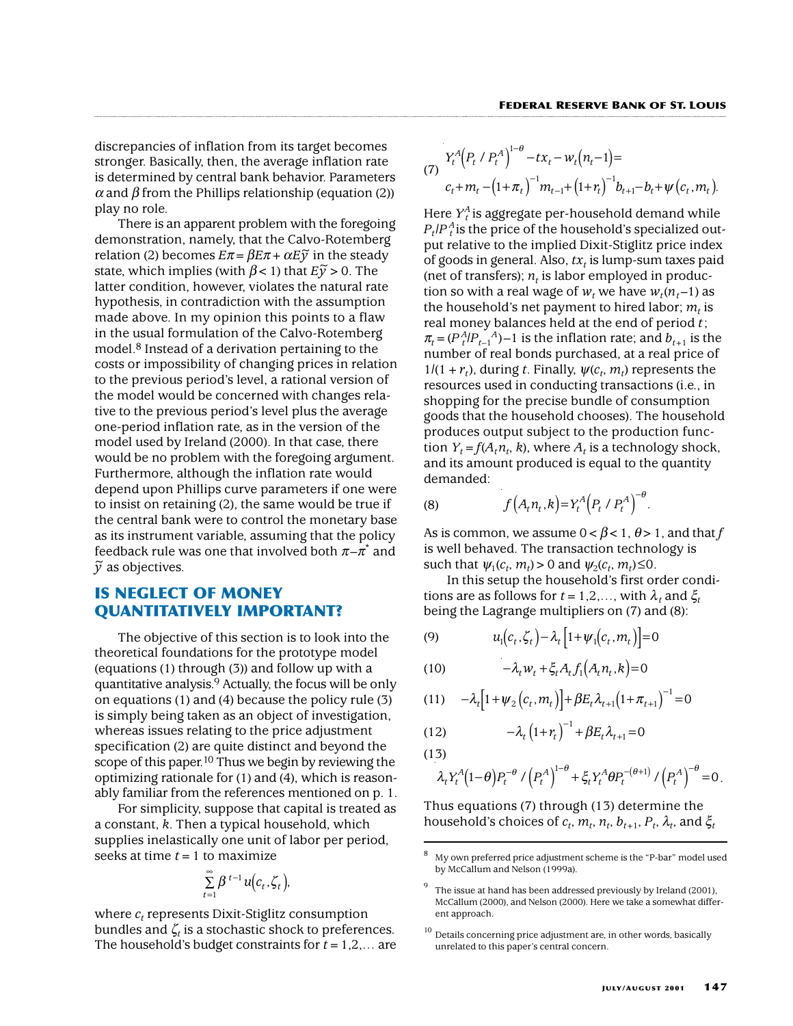discrepancies of inflation from its target becomes stronger. Basically, then, the average inflation rate is determined by central bank behavior. Parameters  $\alpha$  and  $\beta$  from the Phillips relationship (equation (2)) play no role.

There is an apparent problem with the foregoing demonstration, namely, that the Calvo-Rotemberg relation (2) becomes  $E\pi = \beta E\pi + \alpha E\tilde{y}$  in the steady state, which implies (with  $\beta$  < 1) that  $E\widetilde{y} > 0$ . The latter condition, however, violates the natural rate hypothesis, in contradiction with the assumption made above. In my opinion this points to a flaw in the usual formulation of the Calvo-Rotemberg model.8 Instead of a derivation pertaining to the costs or impossibility of changing prices in relation to the previous period's level, a rational version of the model would be concerned with changes relative to the previous period's level plus the average one-period inflation rate, as in the version of the model used by Ireland (2000). In that case, there would be no problem with the foregoing argument. Furthermore, although the inflation rate would depend upon Phillips curve parameters if one were to insist on retaining (2), the same would be true if the central bank were to control the monetary base as its instrument variable, assuming that the policy feedback rule was one that involved both  $\pi-\pi$  and *y* <sup>~</sup> as objectives.

# **IS NEGLECT OF MONEY QUANTITATIVELY IMPORTANT?**

The objective of this section is to look into the theoretical foundations for the prototype model (equations (1) through (3)) and follow up with a quantitative analysis.9 Actually, the focus will be only on equations (1) and (4) because the policy rule (3) is simply being taken as an object of investigation, whereas issues relating to the price adjustment specification (2) are quite distinct and beyond the scope of this paper.<sup>10</sup> Thus we begin by reviewing the optimizing rationale for (1) and (4), which is reasonably familiar from the references mentioned on p. 1.

For simplicity, suppose that capital is treated as a constant, *k*. Then a typical household, which supplies inelastically one unit of labor per period, seeks at time *t*=1 to maximize

$$
\sum_{t=1}^{\infty} \beta^{t-1} u(c_t, \zeta_t),
$$

*t*

where  $c_t$  represents Dixit-Stiglitz consumption bundles and  $\zeta_t$  is a stochastic shock to preferences. The household's budget constraints for *t*=1,2,… are

(7) 
$$
Y_t^A (P_t \nmid P_t^A)^{1-\theta} - tx_t - w_t (n_t - 1) =
$$
  
\n
$$
c_t + m_t - (1 + \pi_t)^{-1} m_{t-1} + (1 + r_t)^{-1} b_{t+1} - b_t + \psi (c_t, m_t).
$$

Here *Y<sup>A</sup> <sup>t</sup>* is aggregate per-household demand while  $P_t$ / $P_t$ <sup> $A$ </sup> is the price of the household's specialized output relative to the implied Dixit-Stiglitz price index of goods in general. Also,  $tx_t$  is lump-sum taxes paid (net of transfers);  $n_t$  is labor employed in production so with a real wage of  $w_t$  we have  $w_t(n_t-1)$  as the household's net payment to hired labor;  $m_t$  is real money balances held at the end of period *t*;  $\pi_t = (P_t^A/P_{t-1}^A) - 1$  is the inflation rate; and  $b_{t+1}$  is the number of real bonds purchased, at a real price of  $1/(1 + r_t)$ , during *t*. Finally,  $\psi(c_t, m_t)$  represents the resources used in conducting transactions (i.e., in shopping for the precise bundle of consumption goods that the household chooses). The household produces output subject to the production function  $Y_t = f(A_t n_t, k)$ , where  $A_t$  is a technology shock, and its amount produced is equal to the quantity demanded:

(8) 
$$
f(A_t n_t, k) = Y_t^A (P_t / P_t^A)^{-\theta}.
$$

As is common, we assume  $0 < \beta < 1$ ,  $\theta > 1$ , and that *f* is well behaved. The transaction technology is such that  $\psi_1(c_t, m_t) > 0$  and  $\psi_2(c_t, m_t) \leq 0$ .

In this setup the household's first order conditions are as follows for  $t = 1, 2, \ldots$ , with  $\lambda_t$  and  $\xi_t$ being the Lagrange multipliers on (7) and (8):

$$
(9) \qquad u_1(c_t, \zeta_t) - \lambda_t \left[1 + \psi_1(c_t, m_t)\right] = 0
$$

$$
(10) \qquad \qquad -\lambda_t w_t + \xi_t A_t f_1\big(A_t n_t, k\big) = 0
$$

(11) 
$$
-\lambda_t [1 + \psi_2 (c_t, m_t)] + \beta E_t \lambda_{t+1} (1 + \pi_{t+1})^{-1} = 0
$$

(12) 
$$
-\lambda_t (1 + r_t)^{-1} + \beta E_t \lambda_{t+1} = 0
$$
  
(13)

$$
\lambda_t Y_t^A (1-\theta) P_t^{-\theta} / (P_t^A)^{1-\theta} + \xi_t Y_t^A \theta P_t^{-(\theta+1)} / (P_t^A)^{-\theta} = 0.
$$

Thus equations (7) through (13) determine the household's choices of  $c_t$ ,  $m_t$ ,  $n_t$ ,  $b_{t+1}$ ,  $P_t$ ,  $\lambda_t$ , and  $\xi_t$ 

<sup>8</sup> My own preferred price adjustment scheme is the "P-bar" model used by McCallum and Nelson (1999a).

The issue at hand has been addressed previously by Ireland (2001), McCallum (2000), and Nelson (2000). Here we take a somewhat different approach.

 $10$  Details concerning price adjustment are, in other words, basically unrelated to this paper's central concern.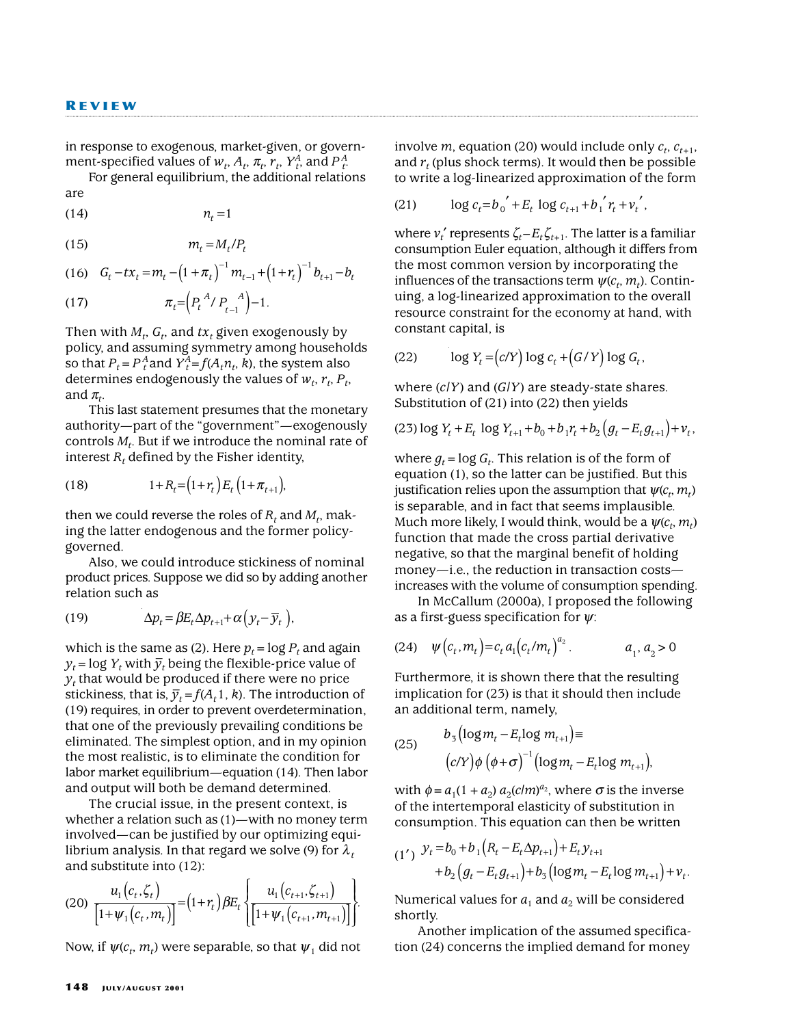in response to exogenous, market-given, or government-specified values of  $w_t$ ,  $A_t$ ,  $\pi_t$ ,  $r_t$ ,  $Y_t^A$ , and  $P_t^A$ .

For general equilibrium, the additional relations are

(14)  $n_t = 1$ 

(15)  $m_t = M_t / P_t$ 

(16) 
$$
G_t - tx_t = m_t - (1 + \pi_t)^{-1} m_{t-1} + (1 + r_t)^{-1} b_{t+1} - b_t
$$

(17) 
$$
\pi_t = (P_t^A/P_{t-1}^A)^{-1}.
$$

Then with  $M_t$ ,  $G_t$ , and  $tx_t$  given exogenously by policy, and assuming symmetry among households so that  $P_t = P_t^A$  and  $Y_t^A = f(A_t n_t, k)$ , the system also determines endogenously the values of  $w_t$ ,  $r_t$ ,  $P_t$ , and  $\pi_t$ .

This last statement presumes that the monetary authority—part of the "government"—exogenously controls  $M_t$ . But if we introduce the nominal rate of interest  $R_t$ , defined by the Fisher identity,

(18) 
$$
1 + R_t = (1 + r_t) E_t (1 + \pi_{t+1}),
$$

then we could reverse the roles of  $R_t$  and  $M_t$ , making the latter endogenous and the former policygoverned.

Also, we could introduce stickiness of nominal product prices. Suppose we did so by adding another relation such as

(19) 
$$
\Delta p_t = \beta E_t \Delta p_{t+1} + \alpha (y_t - \overline{y}_t),
$$

which is the same as (2). Here  $p_t = \log P_t$  and again  $y_t = \log Y_t$  with  $\overline{y}_t$  being the flexible-price value of  $y_t$  that would be produced if there were no price stickiness, that is,  $\bar{y}_t = f(A_t 1, k)$ . The introduction of (19) requires, in order to prevent overdetermination, that one of the previously prevailing conditions be eliminated. The simplest option, and in my opinion the most realistic, is to eliminate the condition for labor market equilibrium—equation (14). Then labor and output will both be demand determined.

The crucial issue, in the present context, is whether a relation such as (1)—with no money term involved—can be justified by our optimizing equilibrium analysis. In that regard we solve (9) for  $\lambda_t$ and substitute into (12):

$$
(20)\ \frac{u_1(c_t,\zeta_t)}{\left[1+\psi_1(c_t,m_t)\right]} = (1+r_t)\beta E_t\left\{\frac{u_1(c_{t+1},\zeta_{t+1})}{\left[1+\psi_1(c_{t+1},m_{t+1})\right]}\right\}.
$$

Now, if  $\psi(c_t, m_t)$  were separable, so that  $\psi_1$  did not

involve *m*, equation (20) would include only  $c_t$ ,  $c_{t+1}$ , and  $r_t$  (plus shock terms). It would then be possible to write a log-linearized approximation of the form

(21) 
$$
\log c_t = b_0' + E_t \log c_{t+1} + b_1' r_t + v_t',
$$

where  $v_t'$  represents  $\zeta_t - E_t \zeta_{t+1}$ . The latter is a familiar consumption Euler equation, although it differs from the most common version by incorporating the influences of the transactions term  $\psi(c_t, m_t)$ . Continuing, a log-linearized approximation to the overall resource constraint for the economy at hand, with constant capital, is

$$
(22) \qquad \log Y_t = (c/Y) \log c_t + (G/Y) \log G_t,
$$

where (*c*/*Y*) and (*G*/*Y*) are steady-state shares. Substitution of (21) into (22) then yields

$$
(23) \log Y_t + E_t \log Y_{t+1} + b_0 + b_1 r_t + b_2 (g_t - E_t g_{t+1}) + v_t,
$$

where  $g_t = \log G_t$ . This relation is of the form of equation (1), so the latter can be justified. But this justification relies upon the assumption that  $\psi(c_t, m_t)$ is separable, and in fact that seems implausible. Much more likely, I would think, would be a  $\psi(c^{}_{t}, m^{}_{t})$ function that made the cross partial derivative negative, so that the marginal benefit of holding money—i.e., the reduction in transaction costs increases with the volume of consumption spending.

In McCallum (2000a), I proposed the following as a first-guess specification for  $\psi$ :

(24) 
$$
\psi(c_t, m_t) = c_t a_1 (c_t/m_t)^{a_2}
$$
.  $a_1, a_2 > 0$ 

Furthermore, it is shown there that the resulting implication for (23) is that it should then include an additional term, namely,

(25) 
$$
b_3 \left(\log m_t - E_t \log m_{t+1}\right) =
$$

$$
\left(c/Y\right) \phi \left(\phi + \sigma\right)^{-1} \left(\log m_t - E_t \log m_{t+1}\right),
$$

with  $\phi = a_1(1 + a_2) a_2(clm)^{a_2}$ , where  $\sigma$  is the inverse of the intertemporal elasticity of substitution in consumption. This equation can then be written

$$
(1') \quad y_t = b_0 + b_1 (R_t - E_t \Delta p_{t+1}) + E_t y_{t+1} + b_2 (g_t - E_t g_{t+1}) + b_3 (\log m_t - E_t \log m_{t+1}) + v_t.
$$

Numerical values for  $a_1$  and  $a_2$  will be considered shortly.

Another implication of the assumed specification (24) concerns the implied demand for money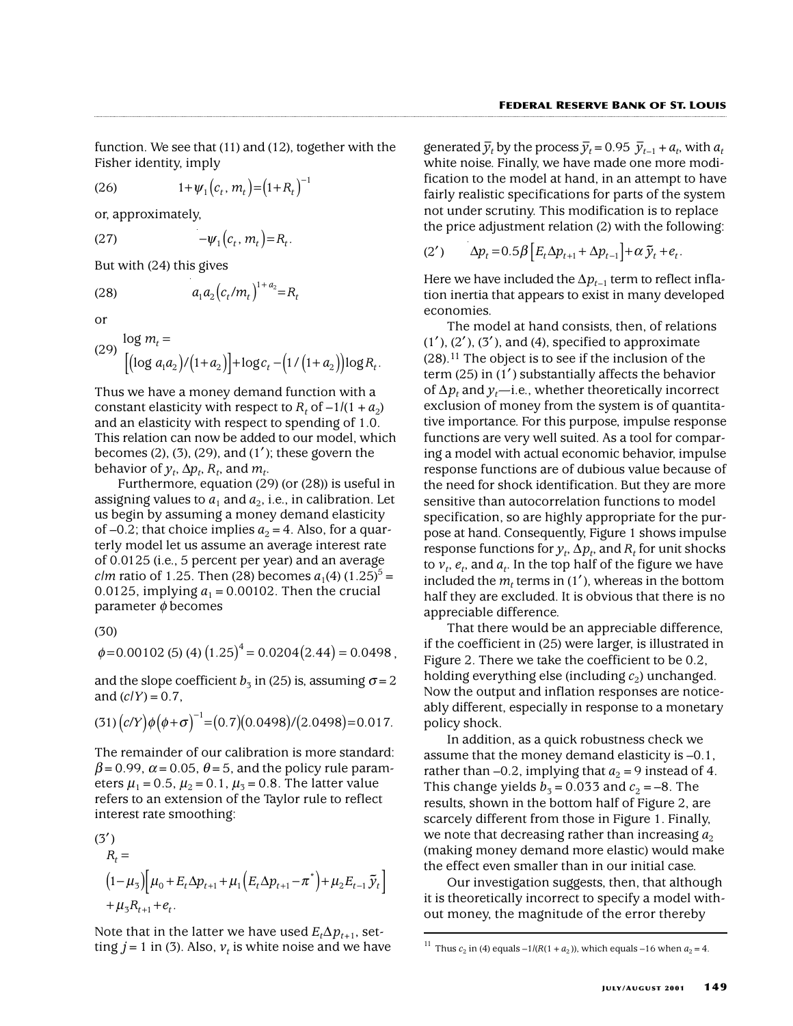function. We see that (11) and (12), together with the Fisher identity, imply

(26)  $1 + \psi_1(c_t, m_t) = (1 + R_t)^{-1}$ 

or, approximately,  $-\psi_1(c_t, m_t) = R_t.$ 

(27)

But with (24) this gives

(28)

or

(29) 
$$
\log m_t = \left[ \left( \log a_1 a_2 \right) / \left( 1 + a_2 \right) \right] + \log c_t - \left( \frac{1}{\left( 1 + a_2 \right)} \right) \log R_t.
$$

 $a_1 a_2 (c_t/m_t)^{1+a_2} = R$  $I_1 u_2 (t_1 m_t) - I_1$  $(c_t/m_t)^{1+a_2} =$ 

Thus we have a money demand function with a constant elasticity with respect to  $R_t$  of  $-1/(1 + a_2)$ and an elasticity with respect to spending of 1.0. This relation can now be added to our model, which becomes  $(2)$ ,  $(3)$ ,  $(29)$ , and  $(1')$ ; these govern the behavior of  $y_t$ ,  $\Delta p_t$ ,  $R_t$ , and  $m_t$ .

Furthermore, equation (29) (or (28)) is useful in assigning values to  $a_1$  and  $a_2$ , i.e., in calibration. Let us begin by assuming a money demand elasticity of –0.2; that choice implies  $a_2 = 4$ . Also, for a quarterly model let us assume an average interest rate of 0.0125 (i.e., 5 percent per year) and an average *clm* ratio of 1.25. Then (28) becomes  $a_1(4)$  (1.25)<sup>5</sup> = 0.0125, implying  $a_1$  = 0.00102. Then the crucial parameter  $\phi$  becomes

(30)

 $\phi$ =0.00102 (5) (4)  $(1.25)^4$  = 0.0204 $(2.44)$  = 0.0498,

and the slope coefficient  $b_3$  in (25) is, assuming  $\sigma = 2$ and  $(c/Y) = 0.7$ ,

$$
(31)\left(c/Y\right)\phi\left(\phi+\sigma\right)^{-1}=(0.7)(0.0498)/(2.0498)=0.017.
$$

The remainder of our calibration is more standard:  $\beta$ =0.99,  $\alpha$ =0.05,  $\theta$ =5, and the policy rule parameters  $\mu_1 = 0.5$ ,  $\mu_2 = 0.1$ ,  $\mu_3 = 0.8$ . The latter value refers to an extension of the Taylor rule to reflect interest rate smoothing:

(3')  
\n
$$
R_{t} =
$$
\n
$$
(1 - \mu_{3}) \left[ \mu_{0} + E_{t} \Delta p_{t+1} + \mu_{1} \left( E_{t} \Delta p_{t+1} - \pi^{*} \right) + \mu_{2} E_{t-1} \tilde{y}_{t} \right]
$$
\n
$$
+ \mu_{3} R_{t+1} + e_{t}.
$$

Note that in the latter we have used  $E_t \Delta p_{t+1}$ , setting  $j = 1$  in (3). Also,  $v_t$  is white noise and we have

generated  $\bar{y}_t$  by the process  $\bar{y}_t = 0.95 \ \bar{y}_{t-1} + a_t$ , with  $a_t$ white noise. Finally, we have made one more modification to the model at hand, in an attempt to have fairly realistic specifications for parts of the system not under scrutiny. This modification is to replace the price adjustment relation (2) with the following:

$$
(2') \qquad \Delta p_t = 0.5\beta \left[ E_t \Delta p_{t+1} + \Delta p_{t-1} \right] + \alpha \, \tilde{y}_t + e_t.
$$

Here we have included the  $\Delta p_{t-1}$  term to reflect inflation inertia that appears to exist in many developed economies.

The model at hand consists, then, of relations  $(1')$ ,  $(2')$ ,  $(3')$ , and  $(4)$ , specified to approximate  $(28)$ .<sup>11</sup> The object is to see if the inclusion of the term (25) in  $(1')$  substantially affects the behavior of ∆*pt* and *yt*—i.e., whether theoretically incorrect exclusion of money from the system is of quantitative importance. For this purpose, impulse response functions are very well suited. As a tool for comparing a model with actual economic behavior, impulse response functions are of dubious value because of the need for shock identification. But they are more sensitive than autocorrelation functions to model specification, so are highly appropriate for the purpose at hand. Consequently, Figure 1 shows impulse response functions for  $y_t$ ,  $\Delta p_t$ , and  $R_t$  for unit shocks to  $v_t$ ,  $e_t$ , and  $a_t$ . In the top half of the figure we have included the  $m_t$  terms in (1'), whereas in the bottom half they are excluded. It is obvious that there is no appreciable difference.

That there would be an appreciable difference, if the coefficient in (25) were larger, is illustrated in Figure 2. There we take the coefficient to be 0.2, holding everything else (including  $c_2$ ) unchanged. Now the output and inflation responses are noticeably different, especially in response to a monetary policy shock.

In addition, as a quick robustness check we assume that the money demand elasticity is –0.1, rather than –0.2, implying that  $a_2 = 9$  instead of 4. This change yields  $b_3=0.033$  and  $c_2=-8$ . The results, shown in the bottom half of Figure 2, are scarcely different from those in Figure 1. Finally, we note that decreasing rather than increasing  $a_2$ (making money demand more elastic) would make the effect even smaller than in our initial case.

Our investigation suggests, then, that although it is theoretically incorrect to specify a model without money, the magnitude of the error thereby

<sup>&</sup>lt;sup>11</sup> Thus  $c_2$  in (4) equals  $-1/(R(1 + a_2))$ , which equals  $-16$  when  $a_2 = 4$ .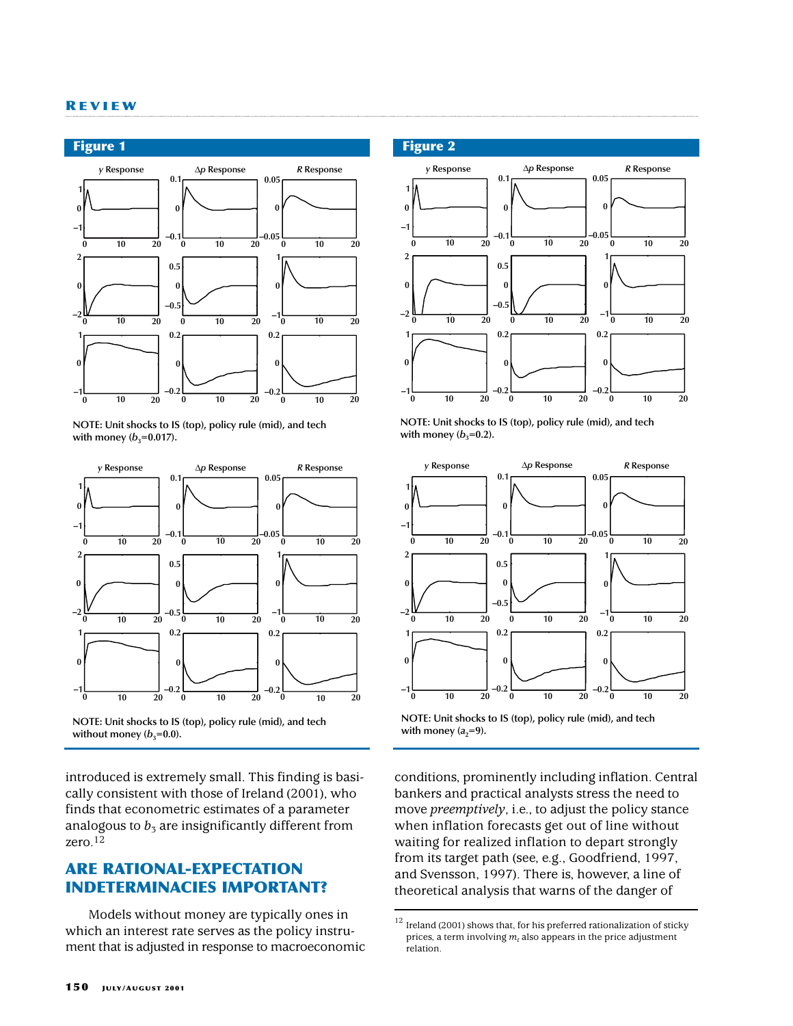#### **R EVIEW**



**NOTE: Unit shocks to IS (top), policy rule (mid), and tech**  with money  $(b_3=0.017)$ .



**NOTE: Unit shocks to IS (top), policy rule (mid), and tech**  without money  $(b_3=0.0)$ .

introduced is extremely small. This finding is basically consistent with those of Ireland (2001), who finds that econometric estimates of a parameter analogous to  $b_3$  are insignificantly different from zero.12

# **ARE RATIONAL-EXPECTATION INDETERMINACIES IMPORTANT?**

Models without money are typically ones in which an interest rate serves as the policy instrument that is adjusted in response to macroeconomic

## **Figure 2**



**NOTE: Unit shocks to IS (top), policy rule (mid), and tech**  with money  $(b_3=0.2)$ .



**NOTE: Unit shocks to IS (top), policy rule (mid), and tech**  with money  $(a_2=9)$ .

conditions, prominently including inflation. Central bankers and practical analysts stress the need to move *preemptively*, i.e., to adjust the policy stance when inflation forecasts get out of line without waiting for realized inflation to depart strongly from its target path (see, e.g., Goodfriend, 1997, and Svensson, 1997). There is, however, a line of theoretical analysis that warns of the danger of

 $^{12}$  Ireland (2001) shows that, for his preferred rationalization of sticky prices, a term involving  $m_t$  also appears in the price adjustment relation.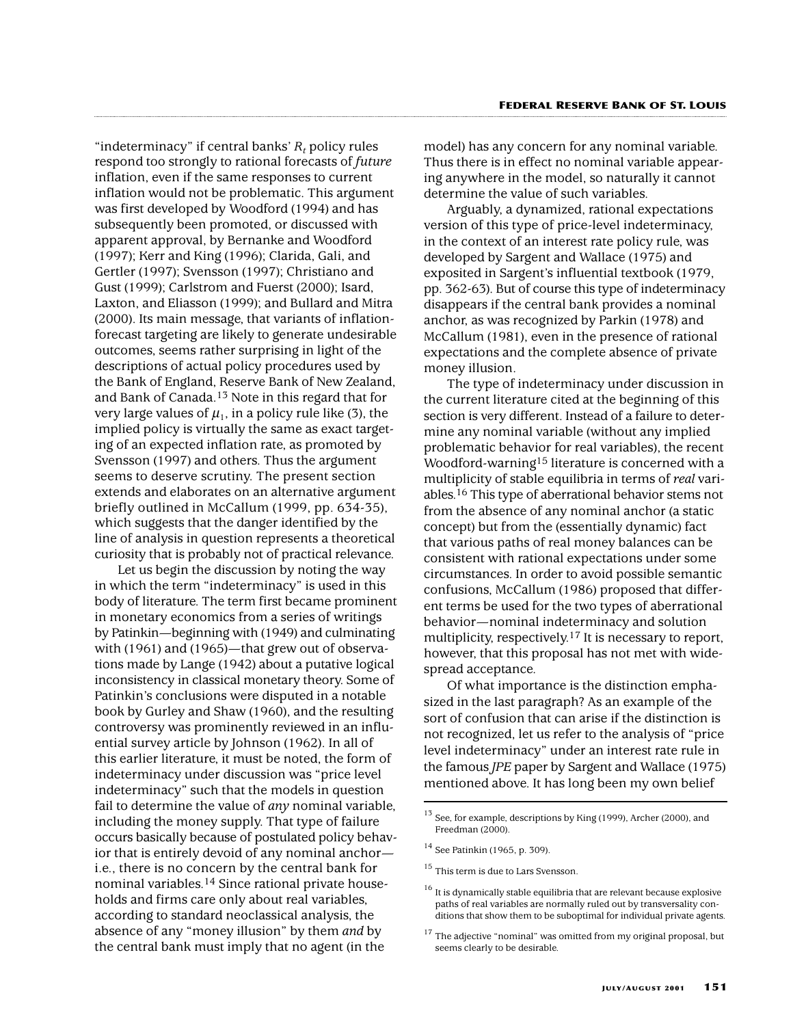"indeterminacy" if central banks'  $R_t$  policy rules respond too strongly to rational forecasts of *future* inflation, even if the same responses to current inflation would not be problematic. This argument was first developed by Woodford (1994) and has subsequently been promoted, or discussed with apparent approval, by Bernanke and Woodford (1997); Kerr and King (1996); Clarida, Gali, and Gertler (1997); Svensson (1997); Christiano and Gust (1999); Carlstrom and Fuerst (2000); Isard, Laxton, and Eliasson (1999); and Bullard and Mitra (2000). Its main message, that variants of inflationforecast targeting are likely to generate undesirable outcomes, seems rather surprising in light of the descriptions of actual policy procedures used by the Bank of England, Reserve Bank of New Zealand, and Bank of Canada.<sup>13</sup> Note in this regard that for very large values of  $\mu_1$ , in a policy rule like (3), the implied policy is virtually the same as exact targeting of an expected inflation rate, as promoted by Svensson (1997) and others. Thus the argument seems to deserve scrutiny. The present section extends and elaborates on an alternative argument briefly outlined in McCallum (1999, pp. 634-35), which suggests that the danger identified by the line of analysis in question represents a theoretical curiosity that is probably not of practical relevance.

Let us begin the discussion by noting the way in which the term "indeterminacy" is used in this body of literature. The term first became prominent in monetary economics from a series of writings by Patinkin—beginning with (1949) and culminating with (1961) and (1965)—that grew out of observations made by Lange (1942) about a putative logical inconsistency in classical monetary theory. Some of Patinkin's conclusions were disputed in a notable book by Gurley and Shaw (1960), and the resulting controversy was prominently reviewed in an influential survey article by Johnson (1962). In all of this earlier literature, it must be noted, the form of indeterminacy under discussion was "price level indeterminacy" such that the models in question fail to determine the value of *any* nominal variable, including the money supply. That type of failure occurs basically because of postulated policy behavior that is entirely devoid of any nominal anchor i.e., there is no concern by the central bank for nominal variables.14 Since rational private households and firms care only about real variables, according to standard neoclassical analysis, the absence of any "money illusion" by them *and* by the central bank must imply that no agent (in the

model) has any concern for any nominal variable. Thus there is in effect no nominal variable appearing anywhere in the model, so naturally it cannot determine the value of such variables.

Arguably, a dynamized, rational expectations version of this type of price-level indeterminacy, in the context of an interest rate policy rule, was developed by Sargent and Wallace (1975) and exposited in Sargent's influential textbook (1979, pp. 362-63). But of course this type of indeterminacy disappears if the central bank provides a nominal anchor, as was recognized by Parkin (1978) and McCallum (1981), even in the presence of rational expectations and the complete absence of private money illusion.

The type of indeterminacy under discussion in the current literature cited at the beginning of this section is very different. Instead of a failure to determine any nominal variable (without any implied problematic behavior for real variables), the recent Woodford-warning15 literature is concerned with a multiplicity of stable equilibria in terms of *real* variables.16 This type of aberrational behavior stems not from the absence of any nominal anchor (a static concept) but from the (essentially dynamic) fact that various paths of real money balances can be consistent with rational expectations under some circumstances. In order to avoid possible semantic confusions, McCallum (1986) proposed that different terms be used for the two types of aberrational behavior—nominal indeterminacy and solution multiplicity, respectively.17 It is necessary to report, however, that this proposal has not met with widespread acceptance.

Of what importance is the distinction emphasized in the last paragraph? As an example of the sort of confusion that can arise if the distinction is not recognized, let us refer to the analysis of "price level indeterminacy" under an interest rate rule in the famous *JPE* paper by Sargent and Wallace (1975) mentioned above. It has long been my own belief

 $^{13}$  See, for example, descriptions by King (1999), Archer (2000), and Freedman (2000).

<sup>14</sup> See Patinkin (1965, p. 309).

 $^{15}$  This term is due to Lars Svensson.

 $^{16}$  It is dynamically stable equilibria that are relevant because explosive paths of real variables are normally ruled out by transversality conditions that show them to be suboptimal for individual private agents.

 $17$  The adjective "nominal" was omitted from my original proposal, but seems clearly to be desirable.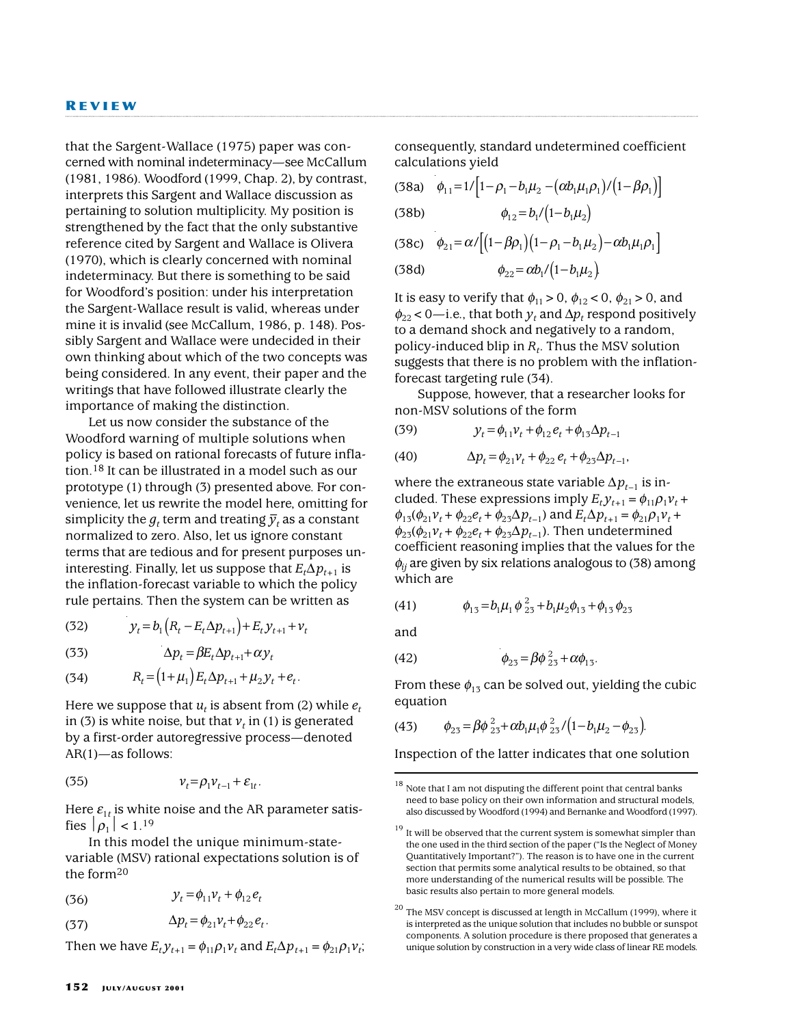that the Sargent-Wallace (1975) paper was concerned with nominal indeterminacy—see McCallum (1981, 1986). Woodford (1999, Chap. 2), by contrast, interprets this Sargent and Wallace discussion as pertaining to solution multiplicity. My position is strengthened by the fact that the only substantive reference cited by Sargent and Wallace is Olivera (1970), which is clearly concerned with nominal indeterminacy. But there is something to be said for Woodford's position: under his interpretation the Sargent-Wallace result is valid, whereas under mine it is invalid (see McCallum, 1986, p. 148). Possibly Sargent and Wallace were undecided in their own thinking about which of the two concepts was being considered. In any event, their paper and the writings that have followed illustrate clearly the importance of making the distinction.

Let us now consider the substance of the Woodford warning of multiple solutions when policy is based on rational forecasts of future inflation.18 It can be illustrated in a model such as our prototype (1) through (3) presented above. For convenience, let us rewrite the model here, omitting for simplicity the  $g_t$  term and treating  $\overline{y}_t$  as a constant normalized to zero. Also, let us ignore constant terms that are tedious and for present purposes uninteresting. Finally, let us suppose that  $E_t \Delta p_{t+1}$  is the inflation-forecast variable to which the policy rule pertains. Then the system can be written as

(32) 
$$
y_t = b_1 (R_t - E_t \Delta p_{t+1}) + E_t y_{t+1} + v_t
$$

(33)  $\Delta p_t = \beta E_t \Delta p_{t+1} + \alpha y_t$ 

(34) 
$$
R_t = (1 + \mu_1) E_t \Delta p_{t+1} + \mu_2 y_t + e_t.
$$

Here we suppose that  $u_t$  is absent from (2) while  $e_t$ in (3) is white noise, but that  $v_t$  in (1) is generated by a first-order autoregressive process—denoted AR(1)—as follows:

$$
(35) \t\t\t v_t = \rho_1 v_{t-1} + \varepsilon_{1t}.
$$

Here  $\varepsilon_{1t}$  is white noise and the AR parameter satisfies  $|\rho_1|$  < 1.<sup>19</sup>

In this model the unique minimum-statevariable (MSV) rational expectations solution is of the form20

(36) 
$$
y_t = \phi_{11} v_t + \phi_{12} e_t
$$

$$
\Delta p_t = \phi_{21} v_t + \phi_{22} e_t.
$$

Then we have  $E_t y_{t+1} = \phi_{11} \rho_1 v_t$  and  $E_t \Delta p_{t+1} = \phi_{21} \rho_1 v_t$ ;

consequently, standard undetermined coefficient calculations yield

(38a) 
$$
\phi_{11}=1/[1-\rho_1-b_1\mu_2-(\alpha b_1\mu_1\rho_1)/(1-\beta\rho_1)]
$$

(38b) φ <sup>µ</sup> 12 1 1 2 = − *b b /*( ) 1

$$
(38c) \quad \phi_{21} = \alpha / \Big[ (1 - \beta \rho_1) (1 - \rho_1 - b_1 \mu_2) - \alpha b_1 \mu_1 \rho_1 \Big]
$$

(38d) 
$$
\phi_{22} = \alpha b_1 / (1 - b_1 \mu_2)
$$

It is easy to verify that  $\phi_{11} > 0$ ,  $\phi_{12} < 0$ ,  $\phi_{21} > 0$ , and  $\phi_{22}$  < 0—i.e., that both  $y_t$  and  $\Delta p_t$  respond positively to a demand shock and negatively to a random, policy-induced blip in *Rt*. Thus the MSV solution suggests that there is no problem with the inflationforecast targeting rule (34).

Suppose, however, that a researcher looks for non-MSV solutions of the form

(39) 
$$
y_t = \phi_{11} v_t + \phi_{12} e_t + \phi_{13} \Delta p_{t-1}
$$

(40) 
$$
\Delta p_t = \phi_{21} v_t + \phi_{22} e_t + \phi_{23} \Delta p_{t-1},
$$

where the extraneous state variable  $\Delta p_{t-1}$  is included. These expressions imply  $E_t y_{t+1} = \phi_{11} \rho_1 v_t +$  $\phi_{13}(\phi_{21}v_t+\phi_{22}e_t+\phi_{23}\Delta p_{t-1})$  and  $E_t\Delta p_{t+1}=\phi_{21}\rho_1v_t+$  $\phi_{23}(\phi_{21}v_t+\phi_{22}e_t+\phi_{23}\Delta p_{t-1})$ . Then undetermined coefficient reasoning implies that the values for the  $\phi$ <sub>*ij*</sub> are given by six relations analogous to (38) among which are

(41) 
$$
\phi_{13} = b_1 \mu_1 \phi_{23}^2 + b_1 \mu_2 \phi_{13} + \phi_{13} \phi_{23}
$$

and

(42) 
$$
\phi_{23} = \beta \phi_{23}^2 + \alpha \phi_{13}.
$$

From these  $\phi_{13}$  can be solved out, yielding the cubic equation

(43) 
$$
\phi_{23} = \beta \phi_{23}^2 + \alpha b_1 \mu_1 \phi_{23}^2 / (1 - b_1 \mu_2 - \phi_{23}).
$$

Inspection of the latter indicates that one solution

 $18$  Note that I am not disputing the different point that central banks need to base policy on their own information and structural models, also discussed by Woodford (1994) and Bernanke and Woodford (1997).

 $19$  It will be observed that the current system is somewhat simpler than the one used in the third section of the paper ("Is the Neglect of Money Quantitatively Important?"). The reason is to have one in the current section that permits some analytical results to be obtained, so that more understanding of the numerical results will be possible. The basic results also pertain to more general models.

 $20$  The MSV concept is discussed at length in McCallum (1999), where it is interpreted as the unique solution that includes no bubble or sunspot components. A solution procedure is there proposed that generates a unique solution by construction in a very wide class of linear RE models.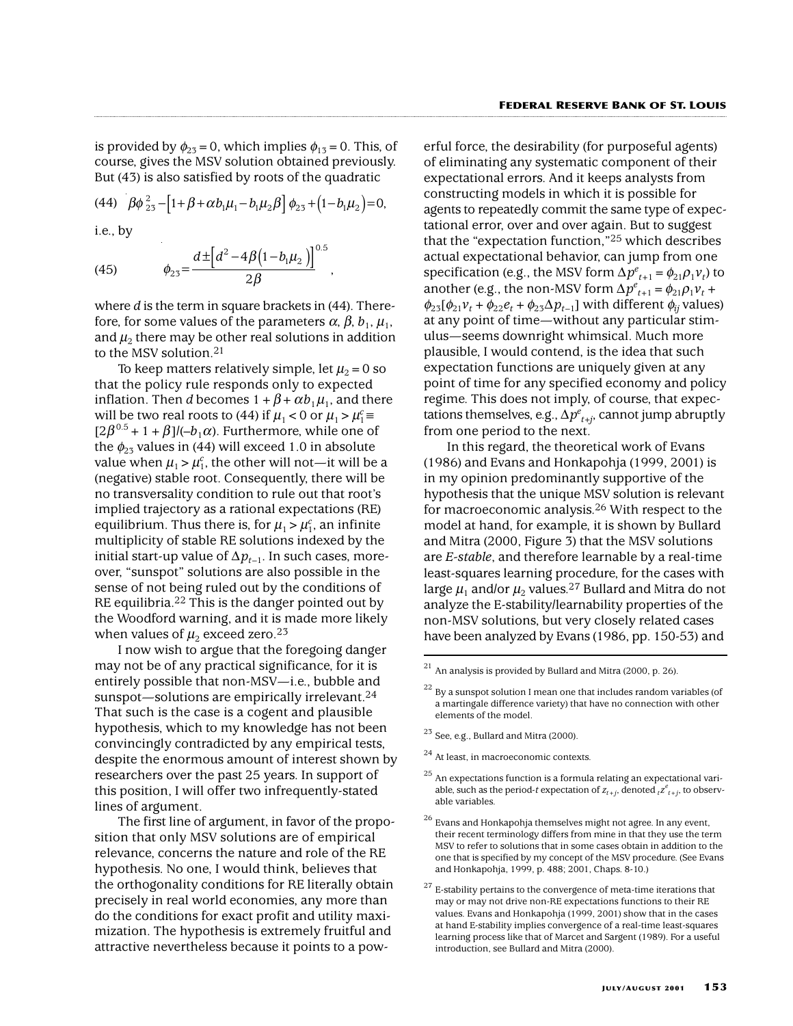is provided by  $\phi_{23}=0$ , which implies  $\phi_{13}=0$ . This, of course, gives the MSV solution obtained previously. But (43) is also satisfied by roots of the quadratic

(44) 
$$
\beta \phi_{23}^2 - [1 + \beta + \alpha b_1 \mu_1 - b_1 \mu_2 \beta] \phi_{23} + (1 - b_1 \mu_2) = 0
$$
,  
i.e., by

(45)  $\phi_{23} = \frac{1}{2} \left( \frac{1}{2} \right)^2$ ,  $\beta$ (1 –  $b_1\mu$  $23^{\circ}$  2 $\beta$  $^{2}-4\beta (1-b_{1}\mu _{2}$  $4\beta(1-b_1\mu_2)\big]^{0.5}$  $=\frac{1}{2}$  $d \pm [d^2 - 4 \beta (1 - b_1 \mu_2)]^{0.}$ 

where *d* is the term in square brackets in (44). Therefore, for some values of the parameters  $\alpha$ ,  $\beta$ ,  $b_1$ ,  $\mu_1$ , and  $\mu_2$  there may be other real solutions in addition to the MSV solution.21

To keep matters relatively simple, let  $\mu_2 = 0$  so that the policy rule responds only to expected inflation. Then *d* becomes  $1 + \beta + \alpha b_1 \mu_1$ , and there will be two real roots to (44) if  $\mu_1 < 0$  or  $\mu_1 > \mu_1^c \equiv$  $[2\beta^{0.5}+1+\beta]/(-b_1\alpha)$ . Furthermore, while one of the  $\phi_{23}$  values in (44) will exceed 1.0 in absolute value when  $\mu_1 > \mu_1^c$ , the other will not—it will be a (negative) stable root. Consequently, there will be no transversality condition to rule out that root's implied trajectory as a rational expectations (RE) equilibrium. Thus there is, for  $\mu_1 > \mu_1^c$ , an infinite multiplicity of stable RE solutions indexed by the initial start-up value of  $\Delta p_{t-1}$ . In such cases, moreover, "sunspot" solutions are also possible in the sense of not being ruled out by the conditions of RE equilibria.<sup>22</sup> This is the danger pointed out by the Woodford warning, and it is made more likely when values of  $\mu_2$  exceed zero.<sup>23</sup>

I now wish to argue that the foregoing danger may not be of any practical significance, for it is entirely possible that non-MSV—i.e., bubble and sunspot—solutions are empirically irrelevant.<sup>24</sup> That such is the case is a cogent and plausible hypothesis, which to my knowledge has not been convincingly contradicted by any empirical tests, despite the enormous amount of interest shown by researchers over the past 25 years. In support of this position, I will offer two infrequently-stated lines of argument.

The first line of argument, in favor of the proposition that only MSV solutions are of empirical relevance, concerns the nature and role of the RE hypothesis. No one, I would think, believes that the orthogonality conditions for RE literally obtain precisely in real world economies, any more than do the conditions for exact profit and utility maximization. The hypothesis is extremely fruitful and attractive nevertheless because it points to a pow-

erful force, the desirability (for purposeful agents) of eliminating any systematic component of their expectational errors. And it keeps analysts from constructing models in which it is possible for agents to repeatedly commit the same type of expectational error, over and over again. But to suggest that the "expectation function,"25 which describes actual expectational behavior, can jump from one specification (e.g., the MSV form  $\Delta p^{e}_{t+1} = \phi_{21} \rho_1 v_t$ ) to another (e.g., the non-MSV form  $\Delta p^{e}_{t+1} = \phi_{21} \rho_1 v_t +$  $\phi_{23}[\phi_{21}v_t+\phi_{22}e_t+\phi_{23}\Delta p_{t-1}]$  with different  $\phi_{ij}$  values) at any point of time—without any particular stimulus—seems downright whimsical. Much more plausible, I would contend, is the idea that such expectation functions are uniquely given at any point of time for any specified economy and policy regime. This does not imply, of course, that expectations themselves, e.g.,  $\Delta p^e_{\;t+j}$ , cannot jump abruptly from one period to the next.

In this regard, the theoretical work of Evans (1986) and Evans and Honkapohja (1999, 2001) is in my opinion predominantly supportive of the hypothesis that the unique MSV solution is relevant for macroeconomic analysis.26 With respect to the model at hand, for example, it is shown by Bullard and Mitra (2000, Figure 3) that the MSV solutions are *E-stable*, and therefore learnable by a real-time least-squares learning procedure, for the cases with large  $\mu_1$  and/or  $\mu_2$  values.<sup>27</sup> Bullard and Mitra do not analyze the E-stability/learnability properties of the non-MSV solutions, but very closely related cases have been analyzed by Evans (1986, pp. 150-53) and

- $23$  See, e.g., Bullard and Mitra (2000).
- <sup>24</sup> At least, in macroeconomic contexts.
- $25$  An expectations function is a formula relating an expectational variable, such as the period-t expectation of  $z_{t+j}$ , denoted  ${}_{t}z_{t+j}^{e}$ , to observable variables.
- $26$  Evans and Honkapohja themselves might not agree. In any event, their recent terminology differs from mine in that they use the term MSV to refer to solutions that in some cases obtain in addition to the one that is specified by my concept of the MSV procedure. (See Evans and Honkapohja, 1999, p. 488; 2001, Chaps. 8-10.)

 $21$  An analysis is provided by Bullard and Mitra (2000, p. 26).

 $^{22}$  By a sunspot solution I mean one that includes random variables (of a martingale difference variety) that have no connection with other elements of the model.

 $^{27}$  E-stability pertains to the convergence of meta-time iterations that may or may not drive non-RE expectations functions to their RE values. Evans and Honkapohja (1999, 2001) show that in the cases at hand E-stability implies convergence of a real-time least-squares learning process like that of Marcet and Sargent (1989). For a useful introduction, see Bullard and Mitra (2000).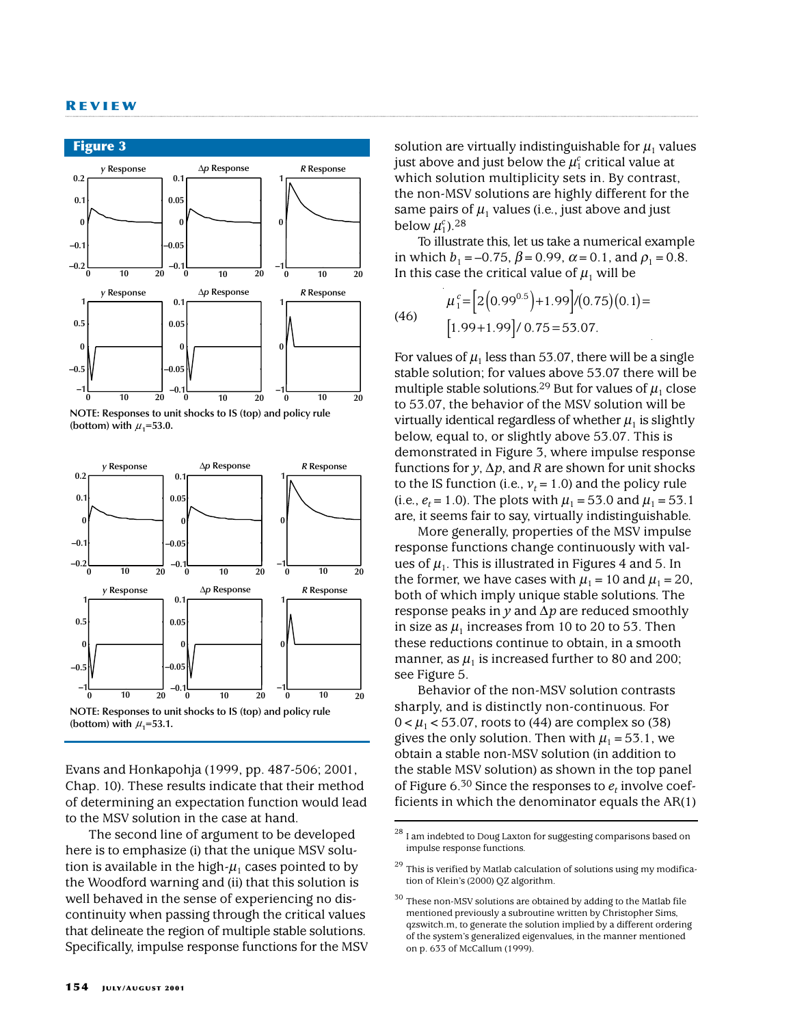





Evans and Honkapohja (1999, pp. 487-506; 2001, Chap. 10). These results indicate that their method of determining an expectation function would lead to the MSV solution in the case at hand.

The second line of argument to be developed here is to emphasize (i) that the unique MSV solution is available in the high- $\mu_1$  cases pointed to by the Woodford warning and (ii) that this solution is well behaved in the sense of experiencing no discontinuity when passing through the critical values that delineate the region of multiple stable solutions. Specifically, impulse response functions for the MSV solution are virtually indistinguishable for  $\mu_1$  values just above and just below the  $\mu_1^c$  critical value at which solution multiplicity sets in. By contrast, the non-MSV solutions are highly different for the same pairs of  $\mu_1$  values (i.e., just above and just below  $\mu_1^c$ ).<sup>28</sup>

To illustrate this, let us take a numerical example in which  $b_1 = -0.75$ ,  $\beta = 0.99$ ,  $\alpha = 0.1$ , and  $\rho_1 = 0.8$ . In this case the critical value of  $\mu_1$  will be

(46) 
$$
\mu_1^c = \left[ 2(0.99^{0.5}) + 1.99 \right] / (0.75)(0.1) =
$$

$$
\left[ 1.99 + 1.99 \right] / 0.75 = 53.07.
$$

For values of  $\mu_1$  less than 53.07, there will be a single stable solution; for values above 53.07 there will be multiple stable solutions.<sup>29</sup> But for values of  $\mu_1$  close to 53.07, the behavior of the MSV solution will be virtually identical regardless of whether  $\mu_1$  is slightly below, equal to, or slightly above 53.07. This is demonstrated in Figure 3, where impulse response functions for *y*,  $\Delta p$ , and *R* are shown for unit shocks to the IS function (i.e.,  $v_t = 1.0$ ) and the policy rule (i.e.,  $e_t$  = 1.0). The plots with  $\mu_1$  = 53.0 and  $\mu_1$  = 53.1 are, it seems fair to say, virtually indistinguishable.

More generally, properties of the MSV impulse response functions change continuously with values of  $\mu_1$ . This is illustrated in Figures 4 and 5. In the former, we have cases with  $\mu_1=10$  and  $\mu_1=20$ , both of which imply unique stable solutions. The response peaks in *y* and ∆*p* are reduced smoothly in size as  $\mu_1$  increases from 10 to 20 to 53. Then these reductions continue to obtain, in a smooth manner, as  $\mu_1$  is increased further to 80 and 200; see Figure 5.

Behavior of the non-MSV solution contrasts sharply, and is distinctly non-continuous. For  $0 < \mu_1 < 53.07$ , roots to (44) are complex so (38) gives the only solution. Then with  $\mu_1$  = 53.1, we obtain a stable non-MSV solution (in addition to the stable MSV solution) as shown in the top panel of Figure  $6^{30}$  Since the responses to  $e_t$  involve coefficients in which the denominator equals the AR(1)

 $^{\rm 28}$  I am indebted to Doug Laxton for suggesting comparisons based on impulse response functions.

 $^{\rm 29}$  This is verified by Matlab calculation of solutions using my modification of Klein's (2000) QZ algorithm.

 $30$  These non-MSV solutions are obtained by adding to the Matlab file mentioned previously a subroutine written by Christopher Sims, qzswitch.m, to generate the solution implied by a different ordering of the system's generalized eigenvalues, in the manner mentioned on p. 633 of McCallum (1999).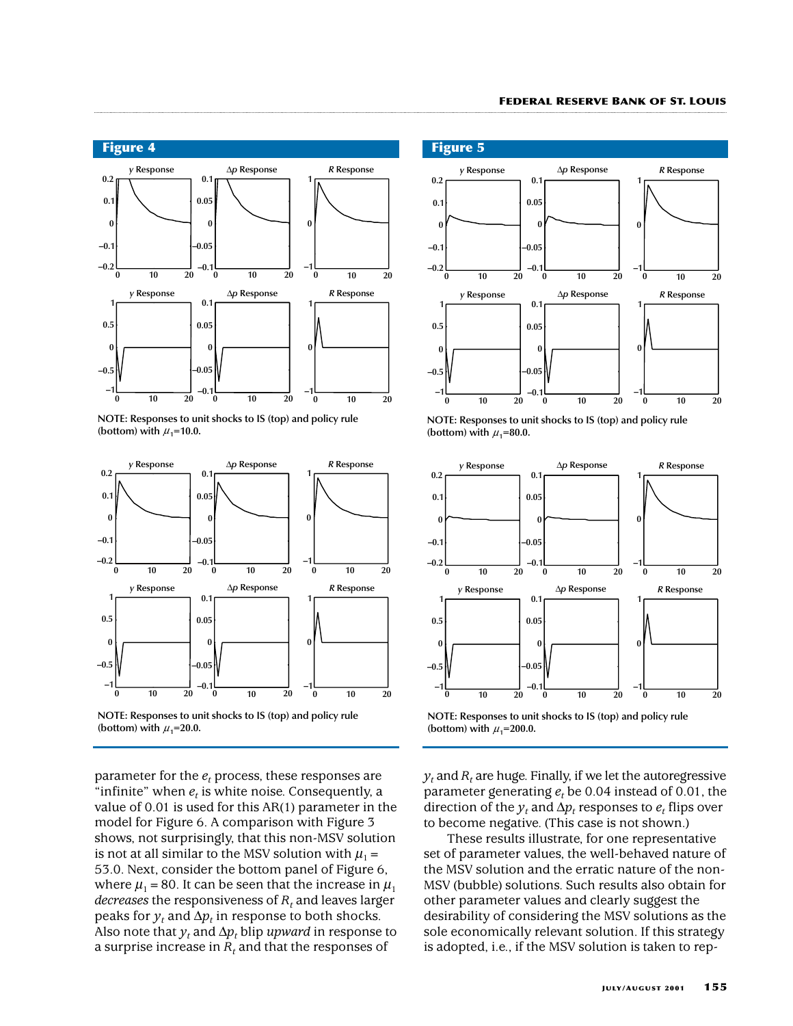

**NOTE: Responses to unit shocks to IS (top) and policy rule**  (bottom) with  $\mu_1$ =10.0.



**NOTE: Responses to unit shocks to IS (top) and policy rule**  (bottom) with  $\mu_1$ =20.0.

parameter for the  $e_t$  process, these responses are "infinite" when  $e_t$  is white noise. Consequently, a value of 0.01 is used for this AR(1) parameter in the model for Figure 6. A comparison with Figure 3 shows, not surprisingly, that this non-MSV solution is not at all similar to the MSV solution with  $\mu_1$  = 53.0. Next, consider the bottom panel of Figure 6, where  $\mu_1$  = 80. It can be seen that the increase in  $\mu_1$ *decreases* the responsiveness of  $R_t$  and leaves larger peaks for  $y_t$  and  $\Delta p_t$  in response to both shocks. Also note that  $y_t$  and  $\Delta p_t$  blip *upward* in response to a surprise increase in  $R_t$  and that the responses of

**Figure 5**



**NOTE: Responses to unit shocks to IS (top) and policy rule**  (bottom) with  $\mu_1$ =80.0.



**NOTE: Responses to unit shocks to IS (top) and policy rule**  (bottom) with  $\mu_1$ =200.0.

 $y_t$  and  $R_t$  are huge. Finally, if we let the autoregressive parameter generating  $e_t$  be 0.04 instead of 0.01, the direction of the  $y_t$  and  $\Delta p_t$  responses to  $e_t$  flips over to become negative. (This case is not shown.)

These results illustrate, for one representative set of parameter values, the well-behaved nature of the MSV solution and the erratic nature of the non-MSV (bubble) solutions. Such results also obtain for other parameter values and clearly suggest the desirability of considering the MSV solutions as the sole economically relevant solution. If this strategy is adopted, i.e., if the MSV solution is taken to rep-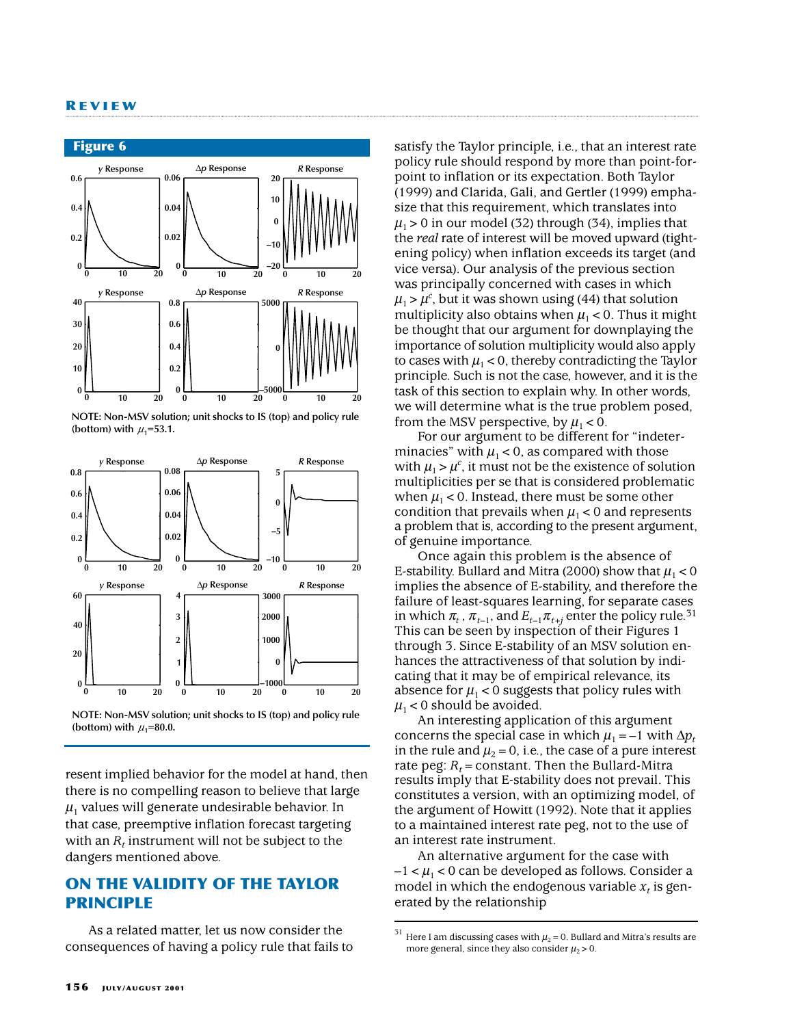

**NOTE: Non-MSV solution; unit shocks to IS (top) and policy rule** (bottom) with  $\mu_1$ =53.1.



**NOTE: Non-MSV solution; unit shocks to IS (top) and policy rule** (bottom) with  $\mu_1$ =80.0.

resent implied behavior for the model at hand, then there is no compelling reason to believe that large  $\mu_1$  values will generate undesirable behavior. In that case, preemptive inflation forecast targeting with an  $R_t$  instrument will not be subject to the dangers mentioned above.

# **ON THE VALIDITY OF THE TAYLOR PRINCIPLE**

As a related matter, let us now consider the consequences of having a policy rule that fails to satisfy the Taylor principle, i.e., that an interest rate policy rule should respond by more than point-forpoint to inflation or its expectation. Both Taylor (1999) and Clarida, Gali, and Gertler (1999) emphasize that this requirement, which translates into  $\mu_1 > 0$  in our model (32) through (34), implies that the *real* rate of interest will be moved upward (tightening policy) when inflation exceeds its target (and vice versa). Our analysis of the previous section was principally concerned with cases in which  $\mu_1 > \mu^c$ , but it was shown using (44) that solution multiplicity also obtains when  $\mu_1$  < 0. Thus it might be thought that our argument for downplaying the importance of solution multiplicity would also apply to cases with  $\mu_1$  < 0, thereby contradicting the Taylor principle. Such is not the case, however, and it is the task of this section to explain why. In other words, we will determine what is the true problem posed, from the MSV perspective, by  $\mu_1 < 0$ .

For our argument to be different for "indeterminacies" with  $\mu_1$  < 0, as compared with those with  $\mu_1 > \mu^c$ , it must not be the existence of solution multiplicities per se that is considered problematic when  $\mu_1$  < 0. Instead, there must be some other condition that prevails when  $\mu_1$  < 0 and represents a problem that is, according to the present argument, of genuine importance.

Once again this problem is the absence of E-stability. Bullard and Mitra (2000) show that  $\mu_1 < 0$ implies the absence of E-stability, and therefore the failure of least-squares learning, for separate cases in which  $\pi_t$ ,  $\pi_{t-1}$ , and  $E_{t-1}$ , $\pi_{t+i}$  enter the policy rule.<sup>31</sup> This can be seen by inspection of their Figures 1 through 3. Since E-stability of an MSV solution enhances the attractiveness of that solution by indicating that it may be of empirical relevance, its absence for  $\mu_1$  < 0 suggests that policy rules with  $\mu_1$  < 0 should be avoided.

An interesting application of this argument concerns the special case in which  $\mu_1 = -1$  with  $\Delta p_t$ in the rule and  $\mu_2=0$ , i.e., the case of a pure interest rate peg:  $R_t$  = constant. Then the Bullard-Mitra results imply that E-stability does not prevail. This constitutes a version, with an optimizing model, of the argument of Howitt (1992). Note that it applies to a maintained interest rate peg, not to the use of an interest rate instrument.

An alternative argument for the case with  $-1 < \mu_1 < 0$  can be developed as follows. Consider a model in which the endogenous variable  $x_t$  is generated by the relationship

 $^{31}$  Here I am discussing cases with  $\mu_2$  = 0. Bullard and Mitra's results are more general, since they also consider  $\mu_2 > 0$ .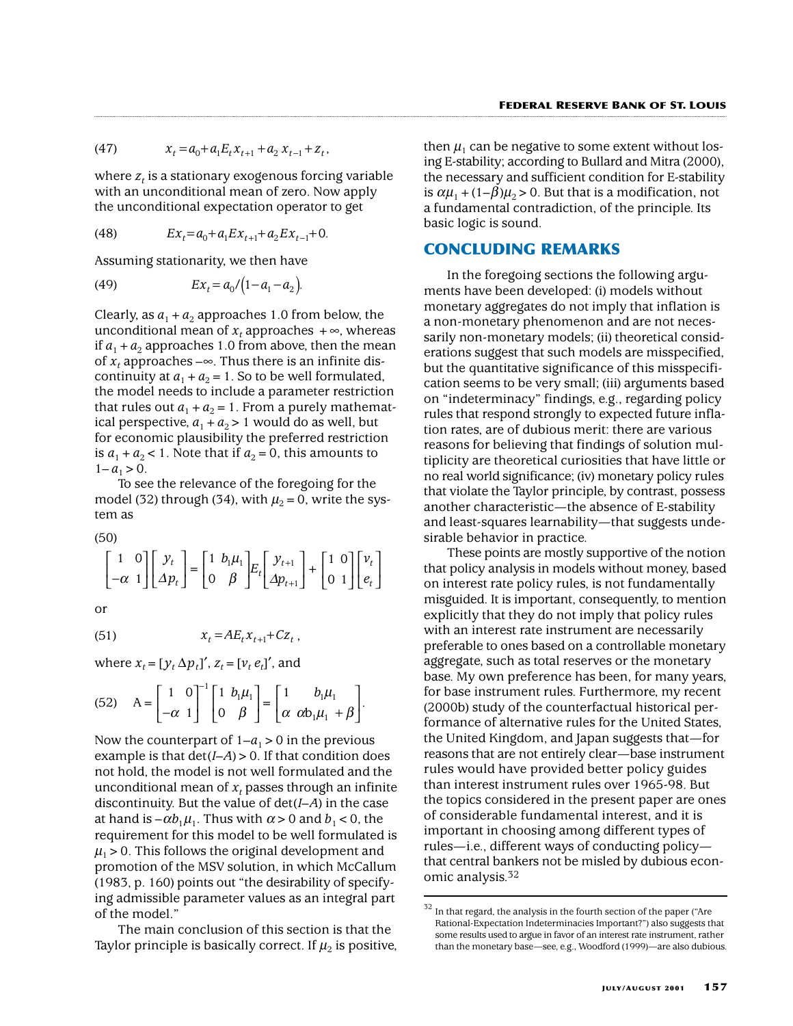(47) 
$$
x_t = a_0 + a_1 E_t x_{t+1} + a_2 x_{t-1} + z_t,
$$

where  $z_t$  is a stationary exogenous forcing variable with an unconditional mean of zero. Now apply the unconditional expectation operator to get

(48) 
$$
Ex_t = a_0 + a_1 Ex_{t+1} + a_2 Ex_{t-1} + 0.
$$

Assuming stationarity, we then have

(49) 
$$
Ex_t = a_0/(1-a_1-a_2).
$$

Clearly, as  $a_1 + a_2$  approaches 1.0 from below, the unconditional mean of  $x_t$  approaches  $+\infty$ , whereas if  $a_1 + a_2$  approaches 1.0 from above, then the mean of  $x_t$  approaches – $\infty$ . Thus there is an infinite discontinuity at  $a_1 + a_2 = 1$ . So to be well formulated, the model needs to include a parameter restriction that rules out  $a_1 + a_2 = 1$ . From a purely mathematical perspective,  $a_1 + a_2 > 1$  would do as well, but for economic plausibility the preferred restriction is  $a_1 + a_2 < 1$ . Note that if  $a_2 = 0$ , this amounts to  $1 - a_1 > 0$ .

To see the relevance of the foregoing for the model (32) through (34), with  $\mu_2 = 0$ , write the system as

(50)

$$
\begin{bmatrix} 1 & 0 \ -\alpha & 1 \end{bmatrix} \begin{bmatrix} y_t \\ \Delta p_t \end{bmatrix} = \begin{bmatrix} 1 & b_1 \mu_1 \\ 0 & \beta \end{bmatrix} E_t \begin{bmatrix} y_{t+1} \\ \Delta p_{t+1} \end{bmatrix} + \begin{bmatrix} 1 & 0 \\ 0 & 1 \end{bmatrix} \begin{bmatrix} v_t \\ e_t \end{bmatrix}
$$

or

(51)  $x_t = AE_t x_{t+1} + Cz_t$ ,

where  $x_t = [y_t \Delta p_t]'$ ,  $z_t = [v_t e_t]'$ , and

(52) 
$$
A = \begin{bmatrix} 1 & 0 \\ -\alpha & 1 \end{bmatrix}^{-1} \begin{bmatrix} 1 & b_1 \mu_1 \\ 0 & \beta \end{bmatrix} = \begin{bmatrix} 1 & b_1 \mu_1 \\ \alpha & \alpha b_1 \mu_1 + \beta \end{bmatrix}.
$$

Now the counterpart of  $1-a_1>0$  in the previous example is that  $det(I-A) > 0$ . If that condition does not hold, the model is not well formulated and the unconditional mean of  $x_t$  passes through an infinite discontinuity. But the value of det(*I*–*A*) in the case at hand is  $-\alpha b_1 \mu_1$ . Thus with  $\alpha > 0$  and  $b_1 < 0$ , the requirement for this model to be well formulated is  $\mu_1 > 0$ . This follows the original development and promotion of the MSV solution, in which McCallum (1983, p. 160) points out "the desirability of specifying admissible parameter values as an integral part of the model."

The main conclusion of this section is that the Taylor principle is basically correct. If  $\mu_2$  is positive,

*then*  $\mu_1$  can be negative to some extent without losing E-stability; according to Bullard and Mitra (2000), the necessary and sufficient condition for E-stability is  $\alpha\mu_1 + (1-\beta)\mu_2 > 0$ . But that is a modification, not a fundamental contradiction, of the principle. Its basic logic is sound.

## **CONCLUDING REMARKS**

In the foregoing sections the following arguments have been developed: (i) models without monetary aggregates do not imply that inflation is a non-monetary phenomenon and are not necessarily non-monetary models; (ii) theoretical considerations suggest that such models are misspecified, but the quantitative significance of this misspecification seems to be very small; (iii) arguments based on "indeterminacy" findings, e.g., regarding policy rules that respond strongly to expected future inflation rates, are of dubious merit: there are various reasons for believing that findings of solution multiplicity are theoretical curiosities that have little or no real world significance; (iv) monetary policy rules that violate the Taylor principle, by contrast, possess another characteristic—the absence of E-stability and least-squares learnability—that suggests undesirable behavior in practice.

These points are mostly supportive of the notion that policy analysis in models without money, based on interest rate policy rules, is not fundamentally misguided. It is important, consequently, to mention explicitly that they do not imply that policy rules with an interest rate instrument are necessarily preferable to ones based on a controllable monetary aggregate, such as total reserves or the monetary base. My own preference has been, for many years, for base instrument rules. Furthermore, my recent (2000b) study of the counterfactual historical performance of alternative rules for the United States, the United Kingdom, and Japan suggests that—for reasons that are not entirely clear—base instrument rules would have provided better policy guides than interest instrument rules over 1965-98. But the topics considered in the present paper are ones of considerable fundamental interest, and it is important in choosing among different types of rules—i.e., different ways of conducting policy that central bankers not be misled by dubious economic analysis.32

 $32$  In that regard, the analysis in the fourth section of the paper ("Are Rational-Expectation Indeterminacies Important?") also suggests that some results used to argue in favor of an interest rate instrument, rather than the monetary base—see, e.g., Woodford (1999)—are also dubious.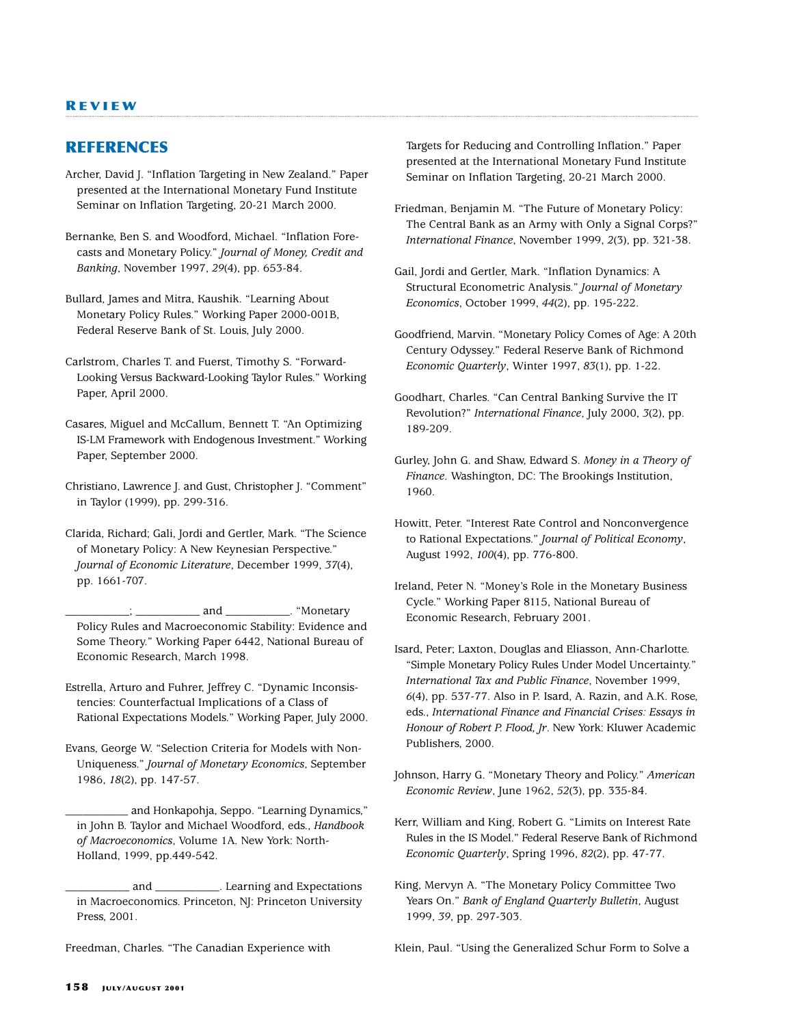#### **R EVIEW**

## **REFERENCES**

Archer, David J. "Inflation Targeting in New Zealand." Paper presented at the International Monetary Fund Institute Seminar on Inflation Targeting, 20-21 March 2000.

Bernanke, Ben S. and Woodford, Michael. "Inflation Forecasts and Monetary Policy." *Journal of Money, Credit and Banking*, November 1997, *29*(4), pp. 653-84.

Bullard, James and Mitra, Kaushik. "Learning About Monetary Policy Rules." Working Paper 2000-001B, Federal Reserve Bank of St. Louis, July 2000.

Carlstrom, Charles T. and Fuerst, Timothy S. "Forward-Looking Versus Backward-Looking Taylor Rules." Working Paper, April 2000.

Casares, Miguel and McCallum, Bennett T. "An Optimizing IS-LM Framework with Endogenous Investment." Working Paper, September 2000.

Christiano, Lawrence J. and Gust, Christopher J. "Comment" in Taylor (1999), pp. 299-316.

Clarida, Richard; Gali, Jordi and Gertler, Mark. "The Science of Monetary Policy: A New Keynesian Perspective." *Journal of Economic Literature*, December 1999, *37*(4), pp. 1661-707.

\_\_\_\_\_\_\_\_\_\_\_; \_\_\_\_\_\_\_\_\_\_\_ and \_\_\_\_\_\_\_\_\_\_\_. "Monetary Policy Rules and Macroeconomic Stability: Evidence and Some Theory." Working Paper 6442, National Bureau of Economic Research, March 1998.

Estrella, Arturo and Fuhrer, Jeffrey C. "Dynamic Inconsistencies: Counterfactual Implications of a Class of Rational Expectations Models." Working Paper, July 2000.

Evans, George W. "Selection Criteria for Models with Non-Uniqueness." *Journal of Monetary Economics*, September 1986, *18*(2), pp. 147-57.

and Honkapohja, Seppo. "Learning Dynamics," in John B. Taylor and Michael Woodford, eds., *Handbook of Macroeconomics*, Volume 1A. New York: North-Holland, 1999, pp.449-542.

\_\_\_\_\_\_\_\_\_\_\_ and \_\_\_\_\_\_\_\_\_\_\_. Learning and Expectations in Macroeconomics. Princeton, NJ: Princeton University Press, 2001.

Freedman, Charles. "The Canadian Experience with

Targets for Reducing and Controlling Inflation." Paper presented at the International Monetary Fund Institute Seminar on Inflation Targeting, 20-21 March 2000.

Friedman, Benjamin M. "The Future of Monetary Policy: The Central Bank as an Army with Only a Signal Corps?" *International Finance*, November 1999, *2*(3), pp. 321-38.

Gail, Jordi and Gertler, Mark. "Inflation Dynamics: A Structural Econometric Analysis." *Journal of Monetary Economics*, October 1999, *44*(2), pp. 195-222.

Goodfriend, Marvin. "Monetary Policy Comes of Age: A 20th Century Odyssey." Federal Reserve Bank of Richmond *Economic Quarterly*, Winter 1997, *83*(1), pp. 1-22.

Goodhart, Charles. "Can Central Banking Survive the IT Revolution?" *International Finance*, July 2000, *3*(2), pp. 189-209.

Gurley, John G. and Shaw, Edward S. *Money in a Theory of Finance*. Washington, DC: The Brookings Institution, 1960.

Howitt, Peter. "Interest Rate Control and Nonconvergence to Rational Expectations." *Journal of Political Economy*, August 1992, *100*(4), pp. 776-800.

Ireland, Peter N. "Money's Role in the Monetary Business Cycle." Working Paper 8115, National Bureau of Economic Research, February 2001.

Isard, Peter; Laxton, Douglas and Eliasson, Ann-Charlotte. "Simple Monetary Policy Rules Under Model Uncertainty." *International Tax and Public Finance*, November 1999, *6*(4), pp. 537-77. Also in P. Isard, A. Razin, and A.K. Rose, eds., *International Finance and Financial Crises: Essays in Honour of Robert P. Flood, Jr*. New York: Kluwer Academic Publishers, 2000.

Johnson, Harry G. "Monetary Theory and Policy." *American Economic Review*, June 1962, *52*(3), pp. 335-84.

Kerr, William and King, Robert G. "Limits on Interest Rate Rules in the IS Model." Federal Reserve Bank of Richmond *Economic Quarterly*, Spring 1996, *82*(2), pp. 47-77.

King, Mervyn A. "The Monetary Policy Committee Two Years On." *Bank of England Quarterly Bulletin*, August 1999, *39*, pp. 297-303.

Klein, Paul. "Using the Generalized Schur Form to Solve a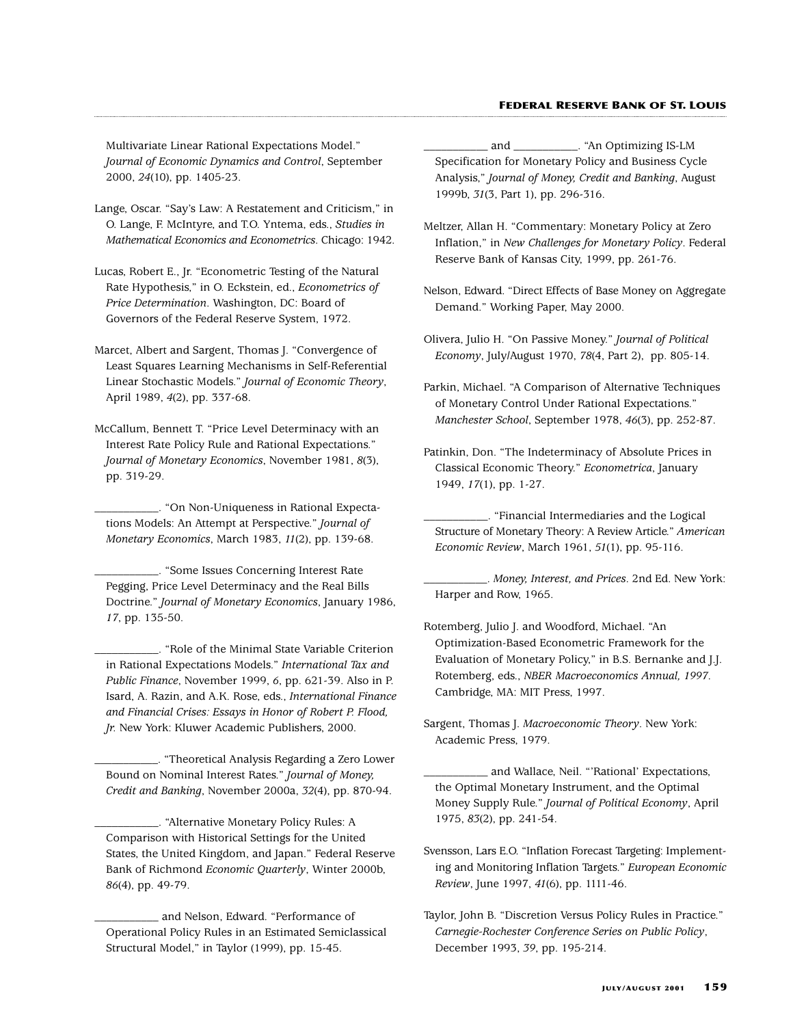#### **FEDERAL RESERVE BANK OF ST. LOUIS**

Multivariate Linear Rational Expectations Model." *Journal of Economic Dynamics and Control*, September 2000, *24*(10), pp. 1405-23.

- Lange, Oscar. "Say's Law: A Restatement and Criticism," in O. Lange, F. McIntyre, and T.O. Yntema, eds., *Studies in Mathematical Economics and Econometrics*. Chicago: 1942.
- Lucas, Robert E., Jr. "Econometric Testing of the Natural Rate Hypothesis," in O. Eckstein, ed., *Econometrics of Price Determination*. Washington, DC: Board of Governors of the Federal Reserve System, 1972.
- Marcet, Albert and Sargent, Thomas J. "Convergence of Least Squares Learning Mechanisms in Self-Referential Linear Stochastic Models." *Journal of Economic Theory*, April 1989, *4*(2), pp. 337-68.
- McCallum, Bennett T. "Price Level Determinacy with an Interest Rate Policy Rule and Rational Expectations." *Journal of Monetary Economics*, November 1981, *8*(3), pp. 319-29.

\_\_\_\_\_\_\_\_\_\_\_. "On Non-Uniqueness in Rational Expectations Models: An Attempt at Perspective." *Journal of Monetary Economics*, March 1983, *11*(2), pp. 139-68.

\_\_\_\_\_\_\_\_\_\_\_. "Some Issues Concerning Interest Rate Pegging, Price Level Determinacy and the Real Bills Doctrine." *Journal of Monetary Economics*, January 1986, *17*, pp. 135-50.

\_\_\_\_\_\_\_\_\_\_\_. "Role of the Minimal State Variable Criterion in Rational Expectations Models." *International Tax and Public Finance*, November 1999, *6*, pp. 621-39. Also in P. Isard, A. Razin, and A.K. Rose, eds., *International Finance and Financial Crises: Essays in Honor of Robert P. Flood, Jr.* New York: Kluwer Academic Publishers, 2000.

\_\_\_\_\_\_\_\_\_\_\_. "Theoretical Analysis Regarding a Zero Lower Bound on Nominal Interest Rates." *Journal of Money, Credit and Banking*, November 2000a, *32*(4), pp. 870-94.

- \_\_\_\_\_\_\_\_\_\_\_. "Alternative Monetary Policy Rules: A Comparison with Historical Settings for the United States, the United Kingdom, and Japan." Federal Reserve Bank of Richmond *Economic Quarterly*, Winter 2000b, *86*(4), pp. 49-79.
- \_\_\_\_\_\_\_\_\_\_\_ and Nelson, Edward. "Performance of Operational Policy Rules in an Estimated Semiclassical Structural Model," in Taylor (1999), pp. 15-45.
- \_\_\_\_\_\_\_\_\_\_\_ and \_\_\_\_\_\_\_\_\_\_\_. "An Optimizing IS-LM Specification for Monetary Policy and Business Cycle Analysis," *Journal of Money, Credit and Banking*, August 1999b, *31*(3, Part 1), pp. 296-316.
- Meltzer, Allan H. "Commentary: Monetary Policy at Zero Inflation," in *New Challenges for Monetary Policy*. Federal Reserve Bank of Kansas City, 1999, pp. 261-76.
- Nelson, Edward. "Direct Effects of Base Money on Aggregate Demand." Working Paper, May 2000.
- Olivera, Julio H. "On Passive Money." *Journal of Political Economy*, July/August 1970, *78*(4, Part 2), pp. 805-14.
- Parkin, Michael. "A Comparison of Alternative Techniques of Monetary Control Under Rational Expectations." *Manchester School*, September 1978, *46*(3), pp. 252-87.
- Patinkin, Don. "The Indeterminacy of Absolute Prices in Classical Economic Theory." *Econometrica*, January 1949, *17*(1), pp. 1-27.
- \_\_\_\_\_\_\_\_\_\_\_. "Financial Intermediaries and the Logical Structure of Monetary Theory: A Review Article." *American Economic Review*, March 1961, *51*(1), pp. 95-116.

\_\_\_\_\_\_\_\_\_\_\_. *Money, Interest, and Prices*. 2nd Ed. New York: Harper and Row, 1965.

Rotemberg, Julio J. and Woodford, Michael. "An Optimization-Based Econometric Framework for the Evaluation of Monetary Policy," in B.S. Bernanke and J.J. Rotemberg, eds., *NBER Macroeconomics Annual, 1997*. Cambridge, MA: MIT Press, 1997.

Sargent, Thomas J. *Macroeconomic Theory*. New York: Academic Press, 1979.

- and Wallace, Neil. "'Rational' Expectations, the Optimal Monetary Instrument, and the Optimal Money Supply Rule." *Journal of Political Economy*, April 1975, *83*(2), pp. 241-54.
- Svensson, Lars E.O. "Inflation Forecast Targeting: Implementing and Monitoring Inflation Targets." *European Economic Review*, June 1997, *41*(6), pp. 1111-46.
- Taylor, John B. "Discretion Versus Policy Rules in Practice." *Carnegie-Rochester Conference Series on Public Policy*, December 1993, *39*, pp. 195-214.